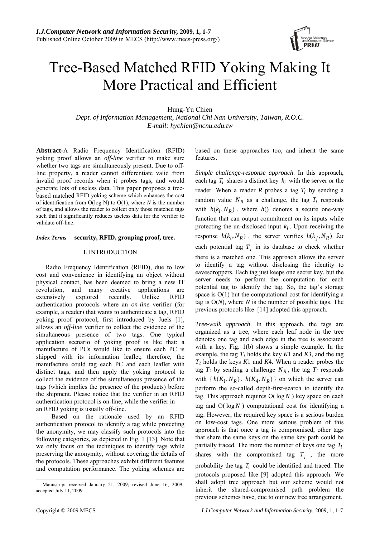

# Tree-Based Matched RFID Yoking Making It More Practical and Efficient

Hung-Yu Chien

*Dept. of Information Management, National Chi Nan University, Taiwan, R.O.C. E-mail: hychien@ncnu.edu.tw* 

**Abstract-**A Radio Frequency Identification (RFID) yoking proof allows an *off-line* verifier to make sure whether two tags are simultaneously present. Due to offline property, a reader cannot differentiate valid from invalid proof records when it probes tags, and would generate lots of useless data. This paper proposes a treebased matched RFID yoking scheme which enhances the cost of identification from O(log N) to O(1), where *N* is the number of tags, and allows the reader to collect only those matched tags such that it significantly reduces useless data for the verifier to validate off-line.

## *Index Terms*— **security, RFID, grouping proof, tree.**

## I. INTRODUCTION

Radio Frequency Identification (RFID), due to low cost and convenience in identifying an object without physical contact, has been deemed to bring a new IT revolution, and many creative applications are extensively explored recently. Unlike RFID authentication protocols where an *on-line* verifier (for example, a reader) that wants to authenticate a tag, RFID yoking proof protocol, first introduced by Juels [1], allows an *off-line* verifier to collect the evidence of the simultaneous presence of two tags. One typical application scenario of yoking proof is like that: a manufacture of PCs would like to ensure each PC is shipped with its information leaflet; therefore, the manufacture could tag each PC and each leaflet with distinct tags, and then apply the yoking protocol to collect the evidence of the simultaneous presence of the tags (which implies the presence of the products) before the shipment. Please notice that the verifier in an RFID authentication protocol is on-line, while the verifier in an RFID yoking is usually off-line.

Based on the rationale used by an RFID authentication protocol to identify a tag while protecting the anonymity, we may classify such protocols into the following categories, as depicted in Fig. 1 [13]. Note that we only focus on the techniques to identify tags while preserving the anonymity, without covering the details of the protocols. These approaches exhibit different features and computation performance. The yoking schemes are based on these approaches too, and inherit the same features.

*Simple challenge-response approach*. In this approach, each tag  $T_i$  shares a distinct key  $k_i$  with the server or the reader. When a reader  $R$  probes a tag  $T_i$  by sending a random value  $N_R$  as a challenge, the tag  $T_i$  responds with  $h(k_i, N_R)$ , where  $h()$  denotes a secure one-way function that can output commitment on its inputs while protecting the un-disclosed input  $k_i$ . Upon receiving the response  $h(k_i, N_R)$ , the server verifies  $h(k_j, N_R)$  for each potential tag  $T_j$  in its database to check whether there is a matched one. This approach allows the server to identify a tag without disclosing the identity to eavesdroppers. Each tag just keeps one secret key, but the server needs to perform the computation for each potential tag to identify the tag. So, the tag's storage space is  $O(1)$  but the computational cost for identifying a tag is O(*N*), where *N* is the number of possible tags. The previous protocols like [14] adopted this approach.

*Tree-walk approach*. In this approach, the tags are organized as a tree, where each leaf node in the tree denotes one tag and each edge in the tree is associated with a key. Fig. 1(b) shows a simple example. In the example, the tag  $T_1$  holds the key  $K1$  and  $K3$ , and the tag *T2* holds the keys *K*1 and *K*4. When a reader probes the tag  $T_2$  by sending a challenge  $N_R$ , the tag  $T_2$  responds with  $\{h(K_1, N_R), h(K_4, N_R)\}\$  on which the server can perform the so-called depth-first-search to identify the tag. This approach requires  $O(\log N)$  key space on each tag and  $O(\log N)$  computational cost for identifying a tag. However, the required key space is a serious burden on low-cost tags. One more serious problem of this approach is that once a tag is compromised, other tags that share the same keys on the same key path could be partially traced. The more the number of keys one tag *Ti* shares with the compromised tag  $T_j$ , the more probability the tag  $T_i$  could be identified and traced. The protocols proposed like [9] adopted this approach. We shall adopt tree approach but our scheme would not inherit the shared-compromised path problem the previous schemes have, due to our new tree arrangement.

Manuscript received January 21, 2009; revised June 16, 2009; accepted July 11, 2009.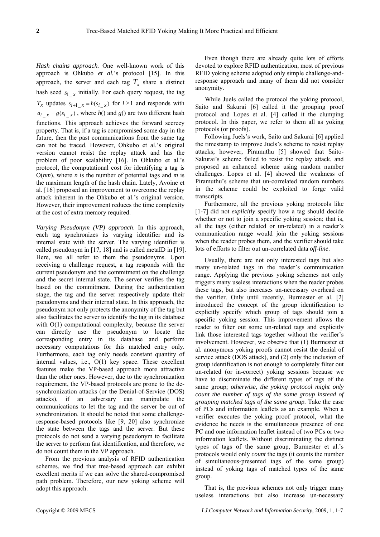*Hash chains approach.* One well-known work of this approach is Ohkubo *et al.*'s protocol [15]. In this approach, the server and each tag  $T_x$  share a distinct hash seed  $s_{1}$  *i* initially. For each query request, the tag  $T_x$  updates  $s_{i+1}$   $\bar{x} = h(s_{i-x})$  for  $i \ge 1$  and responds with  $a_i$   $_x = g(s_i \ x)$ , where  $h()$  and  $g()$  are two different hash functions. This approach achieves the forward secrecy property. That is, if a tag is compromised some day in the future, then the past communications from the same tag can not be traced. However, Ohkubo et al.'s original version cannot resist the replay attack and has the problem of poor scalability [16]. In Ohkubo et al.'s protocol, the computational cost for identifying a tag is  $O(nm)$ , where *n* is the number of potential tags and *m* is the maximum length of the hash chain. Lately, Avoine et al. [16] proposed an improvement to overcome the replay attack inherent in the Ohkubo et al.'s original version. However, their improvement reduces the time complexity at the cost of extra memory required.

*Varying Pseudonym (VP) approach*. In this approach, each tag synchronizes its varying identifier and its internal state with the server. The varying identifier is called pseudonym in [17, 18] and is called metaID in [19]. Here, we all refer to them the pseudonyms. Upon receiving a challenge request, a tag responds with the current pseudonym and the commitment on the challenge and the secret internal state. The server verifies the tag based on the commitment. During the authentication stage, the tag and the server respectively update their pseudonyms and their internal state. In this approach, the pseudonym not only protects the anonymity of the tag but also facilitates the server to identify the tag in its database with O(1) computational complexity, because the server can directly use the pseudonym to locate the corresponding entry in its database and perform necessary computations for this matched entry only. Furthermore, each tag only needs constant quantity of internal values, i.e., O(1) key space. These excellent features make the VP-based approach more attractive than the other ones. However, due to the synchronization requirement, the VP-based protocols are prone to the desynchronization attacks (or the Denial-of-Service (DOS) attacks), if an adversary can manipulate the communications to let the tag and the server be out of synchronization. It should be noted that some challengeresponse-based protocols like [9, 20] also synchronize the state between the tags and the server. But these protocols do not send a varying pseudonym to facilitate the server to perform fast identification, and therefore, we do not count them in the VP approach.

From the previous analysis of RFID authentication schemes, we find that tree-based approach can exhibit excellent merits if we can solve the shared-compromised path problem. Therefore, our new yoking scheme will adopt this approach.

Even though there are already quite lots of efforts devoted to explore RFID authentication, most of previous RFID yoking scheme adopted only simple challenge-andresponse approach and many of them did not consider anonymity.

While Juels called the protocol the yoking protocol, Saito and Sakurai [6] called it the grouping proof protocol and Lopes et al. [4] called it the clumping protocol. In this paper, we refer to them all as yoking protocols (or proofs).

Following Juels's work, Saito and Sakurai [6] applied the timestamp to improve Juels's scheme to resist replay attacks; however, Piramuthu [5] showed that Saito-Sakurai's scheme failed to resist the replay attack, and proposed an enhanced scheme using random number challenges. Lopes et al. [4] showed the weakness of Piramuthu's scheme that un-correlated random numbers in the scheme could be exploited to forge valid transcripts.

Furthermore, all the previous yoking protocols like [1-7] did not *explicitly* specify how a tag should decide whether or not to join a specific yoking session; that is, all the tags (either related or un-related) in a reader's communication range would join the yoking sessions when the reader probes them, and the verifier should take lots of efforts to filter out un-correlated data *off-line*.

Usually, there are not only interested tags but also many un-related tags in the reader's communication range. Applying the previous yoking schemes not only triggers many useless interactions when the reader probes these tags, but also increases un-necessary overhead on the verifier. Only until recently, Burmester et al. [2] introduced the concept of the group identification to explicitly specify which group of tags should join a specific yoking session. This improvement allows the reader to filter out some un-related tags and explicitly link those interested tags together without the verifier's involvement. However, we observe that (1) Burmester et al. anonymous yoking proofs cannot resist the denial of service attack (DOS attack), and (2) only the inclusion of group identification is not enough to completely filter out un-related (or in-correct) yoking sessions because we have to discriminate the different types of tags of the same group; *otherwise, the yoking protocol might only count the number of tags of the same group instead of grouping matched tags of the same group.* Take the case of PCs and information leaflets as an example. When a verifier executes the yoking proof protocol, what the evidence he needs is the simultaneous presence of one PC and one information leaflet instead of two PCs or two information leaflets. Without discriminating the distinct types of tags of the same group, Burmester et al.'s protocols would only *count* the tags (it counts the number of simultaneous-presented tags of the same group) instead of yoking tags of matched types of the same group.

That is, the previous schemes not only trigger many useless interactions but also increase un-necessary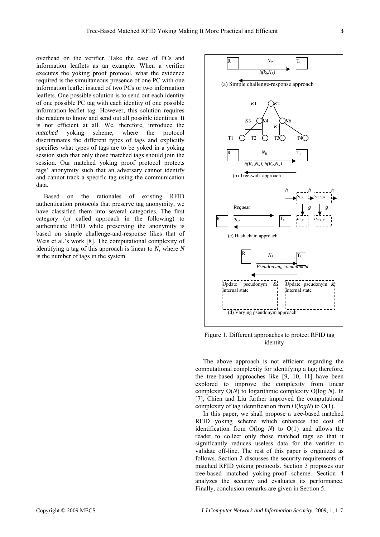overhead on the verifier. Take the case of PCs and information leaflets as an example. When a verifier executes the yoking proof protocol, what the evidence required is the simultaneous presence of one PC with one information leaflet instead of two PCs or two information leaflets. One possible solution is to send out each identity of one possible PC tag with each identity of one possible information-leaflet tag. However, this solution requires the readers to know and send out all possible identities. It is not efficient at all. We, therefore, introduce the *matched* yoking scheme, where the protocol discriminates the different types of tags and explicitly specifies what types of tags are to be yoked in a yoking session such that only those matched tags should join the session. Our matched yoking proof protocol protects tags' anonymity such that an adversary cannot identify and cannot track a specific tag using the communication

Based on the rationales of existing RFID authentication protocols that preserve tag anonymity, we have classified them into several categories. The first category (or called approach in the following) to authenticate RFID while preserving the anonymity is based on simple challenge-and-response likes that of Weis et al.'s work [8]. The computational complexity of identifying a tag of this approach is linear to *N*, where *N*  is the number of tags in the system.

data.



Figure 1. Different approaches to protect RFID tag identity

The above approach is not efficient regarding the computational complexity for identifying a tag; therefore, the tree-based approaches like [9, 10, 11] have been explored to improve the complexity from linear complexity O(*N*) to logarithmic complexity O(log *N*). In [7], Chien and Liu further improved the computational complexity of tag identification from O(*logN*) to O(1).

In this paper, we shall propose a tree-based matched RFID yoking scheme which enhances the cost of identification from O(log *N*) to O(1) and allows the reader to collect only those matched tags so that it significantly reduces useless data for the verifier to validate off-line. The rest of this paper is organized as follows. Section 2 discusses the security requirements of matched RFID yoking protocols. Section 3 proposes our tree-based matched yoking-proof scheme. Section 4 analyzes the security and evaluates its performance. Finally, conclusion remarks are given in Section 5.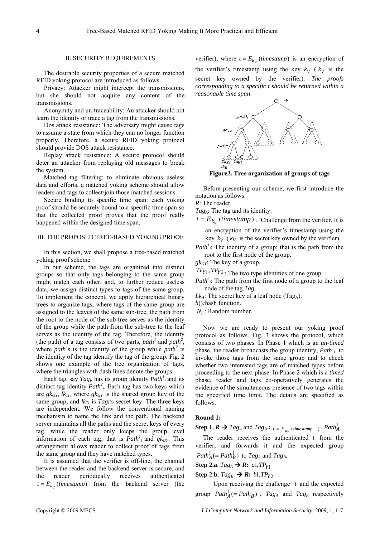#### II. SECURITY REQUIREMENTS

The desirable security properties of a secure matched RFID yoking protocol are introduced as follows.

Privacy: Attacker might intercept the transmissions, but she should not acquire any content of the transmissions.

Anonymity and un-traceability: An attacker should not learn the identity or trace a tag from the transmissions.

Dos attack resistance: The adversary might cause tags to assume a state from which they can no longer function properly. Therefore, a secure RFID yoking protocol should provide DOS attack resistance.

Replay attack resistance: A secure protocol should deter an attacker from replaying old messages to break the system.

Matched tag filtering: to eliminate obvious useless data and efforts, a matched yoking scheme should allow readers and tags to collect/join those matched sessions.

Secure binding to specific time span: each yoking proof should be securely bound to a specific time span so that the collected proof proves that the proof really happened within the designed time span.

## III. THE PROPOSED TREE-BASED YOKING PROOF

In this section, we shall propose a tree-based matched yoking proof scheme.

In our scheme, the tags are organized into distinct groups so that only tags belonging to the same group might match each other, and, to further reduce useless data, we assign distinct types to tags of the same group. To implement the concept, we apply hierarchical binary trees to organize tags, where tags of the same group are assigned to the leaves of the same sub-tree, the path from the root to the node of the sub-tree serves as the identity of the group while the path from the sub-tree to the leaf serves as the identity of the tag. Therefore, the identity (the path) of a tag consists of two parts, *path<sup>1</sup>* and *path*<sup>2</sup>, where *path*<sup>1</sup>s is the identity of the group while *path*<sup>2</sup> is the identity of the tag identify the tag of the group. Fig. 2 shows one example of the tree organization of tags, where the triangles with dash lines denote the groups.

Each tag, say  $Tag_i$ , has its group identity  $Path_i^i$  and its distinct tag identity *Path<sup>2</sup> <sup>i</sup>*. Each tag has two keys which are  $g k_{GY}$ ,  $lk_{Ti}$ , where  $g k_{GY}$  is the shared group key of the same group, and  $lk_{Ti}$  is  $Tag_i$ 's secret key. The three keys are independent. We follow the conventional naming mechanism to name the link and the path. The backend server maintains all the paths and the secret keys of every tag, while the reader only keeps the group level information of each tag; that is  $Path<sup>1</sup><sub>i</sub>$  and  $gk<sub>GY</sub>$ . This arrangement allows reader to collect proof of tags from the same group and they have matched types.

It is assumed that the verifier is off-line, the channel between the reader and the backend server is secure, and the reader periodically receives authenticated  $t = E_{k_V}$  (*timestamp*) from the backend server (the

verifier), where  $t = E_{k_V}$  (*timestamp*) is an encryption of the verifier's timestamp using the key  $k_V$  ( $k_V$  is the secret key owned by the verifier). *The proofs corresponding to a specific t should be returned within a reasonable time span*.



**Figure2. Tree organization of groups of tags** 

Before presenting our scheme, we first introduce the notation as follows.

*R*: The reader.

*TagA*: The tag and its identity.

 $t = E_{kv}$  (*timestamp*) : Challenge from the verifier. It is

an encryption of the verifier's timestamp using the key 
$$
k_V
$$
 ( $k_V$  is the secret key owned by the verifier).

*Path<sup>1</sup>*<sub>*i*</sub>: The identity of a group; that is the path from the root to the first node of the group.

*gkGY*: The key of a group.

 $TP_{Y1}, TP_{Y2}$ : The two type identities of one group.

*Path*<sup>2</sup><sub>*i*</sub>: The path from the first node of a group to the leaf node of the tag *Tagi.*

 $Lk_A$ : The secret key of a leaf node (Tag<sub>A</sub>).

*h*()*:*hash function.

*Ni* : Random number.

Now we are ready to present our yoking proof protocol as follows. Fig. 3 shows the protocol, which consists of two phases. In Phase 1 which is an *un-timed* phase, the reader broadcasts the group identity, *Path<sup>1</sup> <sup>i</sup>*, to invoke those tags from the same group and to check whether two interested tags are of matched types before proceeding to the next phase. In Phase 2 which is a *timed* phase, reader and tags co-operatively generates the evidence of the simultaneous presence of two tags within the specified time limit. The details are specified as follows.

## **Round 1:**

**Step 1.** *R* $\rightarrow$ *Tag<sub>A</sub>* **and** *Tag<sub>B</sub>***.:** *t* **=** *E***<sub>***k<sub>V</sub></sub> (timestamp), <i>Path***<sup>1</sup>***A***</sup>**</sub>

The reader receives the authenticated *t* from the verifier, and forwards it and the expected group  $Path_A^1$  (=  $Path_B^1$ ) to  $Tag_A$  and  $Tag_B$ .

Step 2.a.  $Tag_A \rightarrow R$ :  $a1, TP_{Y1}$ 

## Step 2.b:  $Tag_B. \rightarrow R$ :  $b1, TP_{Y2}$

Upon receiving the challenge *t* and the expected group  $Path_A^1$  (=  $Path_B^1$ ),  $Tag_A$  and  $Tag_B$  respectively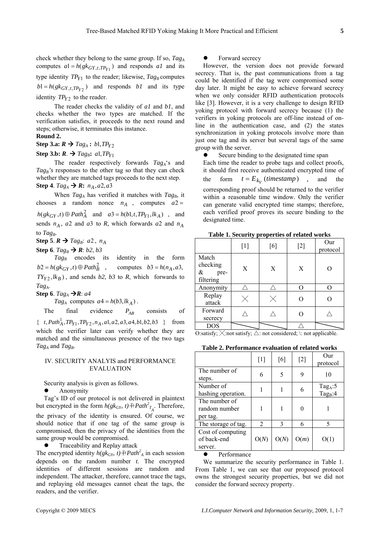check whether they belong to the same group. If so, *TagA* computes  $a1 = h(gk_{GY,t, TPI})$  and responds al and its type identity  $TP_{Y1}$  to the reader; likewise,  $Tag_B$  computes  $b1 = h(gk_{GY,t,TP_{Y2}})$  and responds  $b1$  and its type identity  $TP_{Y2}$  to the reader.

The reader checks the validity of *a1* and *b1*, and checks whether the two types are matched. If the verification satisfies, it proceeds to the next round and steps; otherwise, it terminates this instance.

## **Round 2.**

Step 3.a:  $R \rightarrow Tag_A : b1, TP_{Y2}$ 

## Step 3.b:  $R$ .  $\rightarrow$   $Tag_B$ :  $a$ 1, $TP_{Y1}$

**Step 4**.  $Tag_A \rightarrow \mathbf{R}$ :  $n_A$ ,  $a2$ ,  $a3$ The reader respectively forwards *TagA*'s and Tag<sub>B</sub>'s responses to the other tag so that they can check whether they are matched tags proceeds to the next step.

When  $Tag<sub>A</sub>$  has verified it matches with  $Tag<sub>B</sub>$ , it chooses a random nonce  $n_A$ , computes  $a2 =$  $h(gk_{GY}, t) \oplus Path_A^2$  and  $a3 = h(b1, t, TP_{Y1}, lk_A)$ , and sends  $n_A$ , a2 and a3 to R, which forwards a2 and  $n_A$ to *Tag<sub>B</sub>*.

**Step 5**.  $R \rightarrow Tag_B$ : *a*2,  $n_A$ 

Step 6.  $Tag_B \rightarrow R$ : *b2*, *b3* 

 $b2 = h(gk_{GY}, t) \oplus Path_B^2$  $TY_{Y2}$ ,  $lk_B$ ), and sends *b2*, *b3* to *R*, which forwards to Tag<sub>B</sub> encodes its identity in the form , computes  $b3 = h(n_A, a3)$ , *TagA*.

**Step 6**. *Tag<sub>A</sub>* → *R*: *a4* 

 $Tag_A$  computes  $a^4 = h(b3, lk_A)$ .

The final evidence  $P_{AB}$  consists of  $P_{AB}$ 

 $\{ t, Path^1_A, TP_{Y1}, TP_{Y2}, n_A, a1, a2, a3, a4, b1, b2, b3 \}$  from which the verifier later can verify whether they are matched and the simultaneous presence of the two tags *TagA* and *TagB*.

## IV. SECURITY ANALYIS and PERFORMANCE EVALUATION

Security analysis is given as follows.

• Anonymity

Tag's ID of our protocol is not delivered in plaintext but encrypted in the form  $h(gk_{GY}, t) \oplus Path^2_{T_A}$ . Therefore, the privacy of the identity is ensured. Of course, we should notice that if one tag of the same group is compromised, then the privacy of the identities from the same group would be compromised.

 $\bullet$  Traceability and Replay attack

The encrypted identity  $h(gk_{GY}, t) \oplus Path^2_A$  in each session depends on the random number *t*. The encrypted identities of different sessions are random and independent. The attacker, therefore, cannot trace the tags, and replaying old messages cannot cheat the tags, the readers, and the verifier.

## Forward secrecy

However, the version does not provide forward secrecy. That is, the past communications from a tag could be identified if the tag were compromised some day later. It might be easy to achieve forward secrecy when we only consider RFID authentication protocols like [3]. However, it is a very challenge to design RFID yoking protocol with forward secrecy because (1) the verifiers in yoking protocols are off-line instead of online in the authentication case, and (2) the states synchronization in yoking protocols involve more than just one tag and its server but several tags of the same group with the server.

Secure binding to the designated time span

Each time the reader to probe tags and collect proofs, it should first receive authenticated encrypted time of the form  $t = E_{k_V}$  (*timestamp*), and the corresponding proof should be returned to the verifier within a reasonable time window. Only the verifier can generate valid encrypted time stamps; therefore, each verified proof proves its secure binding to the designated time.

**Table 1. Security properties of related works**

|                                                | $[1]$ | [6] | $[2]$ | Our<br>protocol |
|------------------------------------------------|-------|-----|-------|-----------------|
| Match<br>checking<br>$\&$<br>pre-<br>filtering | X     | X   | X     |                 |
| Anonymity                                      |       |     |       |                 |
| Replay<br>attack                               |       |     |       |                 |
| Forward<br>secrecy                             |       |     |       |                 |
| <b>DOS</b>                                     |       |     |       |                 |

O:satisfy;  $\times$ :not satisfy;  $\triangle$ : not considered;  $\setminus$ : not applicable.

**Table 2. Performance evaluation of related works**

|                                             | $\lceil 1 \rceil$           | [6]         | $[2]$ | Our<br>protocol                     |
|---------------------------------------------|-----------------------------|-------------|-------|-------------------------------------|
| The number of<br>steps.                     | 6                           | 5           | 9     | 10                                  |
| Number of<br>hashing operation.             |                             |             | 6     | Tag <sub>A</sub> : $5$<br>$Tag_B:4$ |
| The number of<br>random number<br>per tag.  |                             |             | 0     |                                     |
| The storage of tag.                         | $\mathcal{D}_{\mathcal{L}}$ | $\mathbf 3$ | 6     | 5                                   |
| Cost of computing<br>of back-end<br>server. | O(N)                        | O(N)        | O(m)  | O(1)                                |

Performance

We summarize the security performance in Table 1. From Table 1, we can see that our proposed protocol owns the strongest security properties, but we did not consider the forward secrecy property.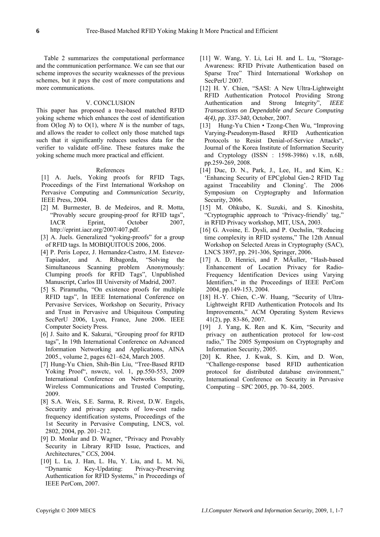Table 2 summarizes the computational performance and the communication performance. We can see that our scheme improves the security weaknesses of the previous schemes, but it pays the cost of more computations and more communications.

#### V. CONCLUSION

This paper has proposed a tree-based matched RFID yoking scheme which enhances the cost of identification from O(log *N*) to O(1), where *N* is the number of tags, and allows the reader to collect only those matched tags such that it significantly reduces useless data for the verifier to validate off-line. These features make the yoking scheme much more practical and efficient.

## References

[1] A. Juels, Yoking proofs for RFID Tags, Proceedings of the First International Workshop on Pervasive Computing and *Communication Security*, IEEE Press, 2004.

- [2] M. Burmester, B. de Medeiros, and R. Motta, "Provably secure grouping-proof for RFID tags", IACR Eprint, October 2007, http://eprint.iacr.org/2007/407.pdf.
- [3] A. Juels. Generalized "yoking-proofs" for a group of RFID tags. In MOBIQUITOUS 2006, 2006.
- [4] P. Peris Lopez, J. Hernandez-Castro, J.M. Estevez-Tapiador, and A. Ribagorda, "Solving the Simultaneous Scanning problem Anonymously: Clumping proofs for RFID Tags", Unpublished Manuscript, Carlos III University of Madrid, 2007.
- [5] S. Piramuthu, "On existence proofs for multiple RFID tags", In IEEE International Conference on Pervasive Services, Workshop on Security, Privacy and Trust in Pervasive and Ubiquitous Computing SecPerU 2006, Lyon, France, June 2006. IEEE Computer Society Press.
- [6] J. Saito and K. Sakurai, "Grouping proof for RFID tags", In 19th International Conference on Advanced Information Networking and Applications, AINA 2005., volume 2, pages 621–624, March 2005.
- [7] Hung-Yu Chien, Shih-Bin Liu, "Tree-Based RFID Yoking Proof", nswctc, vol. 1, pp.550-553, 2009 International Conference on Networks Security, Wireless Communications and Trusted Computing, 2009.
- [8] S.A. Weis, S.E. Sarma, R. Rivest, D.W. Engels, Security and privacy aspects of low-cost radio frequency identification systems, Proceedings of the 1st Security in Pervasive Computing, LNCS, vol. 2802, 2004, pp. 201–212.
- [9] D. Monlar and D. Wagner, "Privacy and Provably Security in Library RFID Issue, Practices, and Architectures," *CCS*, 2004.
- [10] L. Lu, J. Han, L. Hu, Y. Liu, and L. M. Ni, "Dynamic Key-Updating: Privacy-Preserving Authentication for RFID Systems," in Proceedings of IEEE PerCom, 2007.
- [11] W. Wang, Y. Li, Lei H. and L. Lu, "Storage-Awareness: RFID Private Authentication based on Sparse Tree" Third International Workshop on SecPerU 2007.
- [12] H. Y. Chien, "SASI: A New Ultra-Lightweight RFID Authentication Protocol Providing Strong Authentication and Strong Integrity", *IEEE Transactions on Dependable and Secure Computing 4(4), pp. 337-340*, October, 2007.
- [13] Hung-Yu Chien Tzong-Chen Wu, "Improving Varying-Pseudonym-Based RFID Authentication Protocols to Resist Denial-of-Service Attacks", Journal of the Korea Institute of Information Security and Cryptology (ISSN : 1598-3986) v.18, n.6B, pp.259-269, 2008.
- [14] Duc, D. N., Park, J., Lee, H., and Kim, K.: 'Enhancing Security of EPCglobal Gen-2 RFID Tag against Traceability and Cloning'. The 2006 Symposium on Cryptography and Information Security, 2006.
- [15] M. Ohkubo, K. Suzuki, and S. Kinoshita, "Cryptographic approach to 'Privacy-friendly' tag," in RFID Privacy workshop, MIT, USA, 2003.
- [16] G. Avoine, E. Dysli, and P. Oechslin, "Reducing time complexity in RFID systems," The 12th Annual Workshop on Selected Areas in Cryptography (SAC), LNCS 3897, pp. 291-306, Springer, 2006.
- [17] A. D. Henrici, and P. MÄuller, "Hash-based Enhancement of Location Privacy for Radio-Frequency Identification Devices using Varying Identifiers," in the Proceedings of IEEE PerCom 2004, pp.149-153, 2004.
- [18] H.-Y. Chien, C.-W. Huang, "Security of Ultra-Lightweight RFID Authentication Protocols and Its Improvements," ACM Operating System Reviews 41(2), pp. 83-86, 2007.
- [19] J. Yang, K. Ren and K. Kim, "Security and privacy on authentication protocol for low-cost radio," The 2005 Symposium on Cryptography and Information Security, 2005.
- [20] K. Rhee, J. Kwak, S. Kim, and D. Won, "Challenge-response based RFID authentication protocol for distributed database environment," International Conference on Security in Pervasive Computing – SPC 2005, pp. 70–84, 2005.